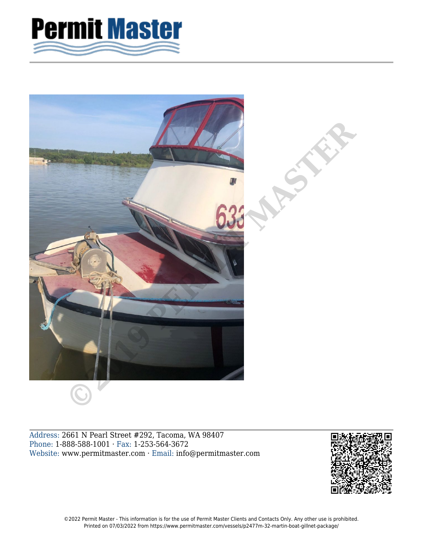



Address: 2661 N Pearl Street #292, Tacoma, WA 98407 Phone: 1-888-588-1001 · Fax: 1-253-564-3672 Website: www.permitmaster.com · Email: info@permitmaster.com